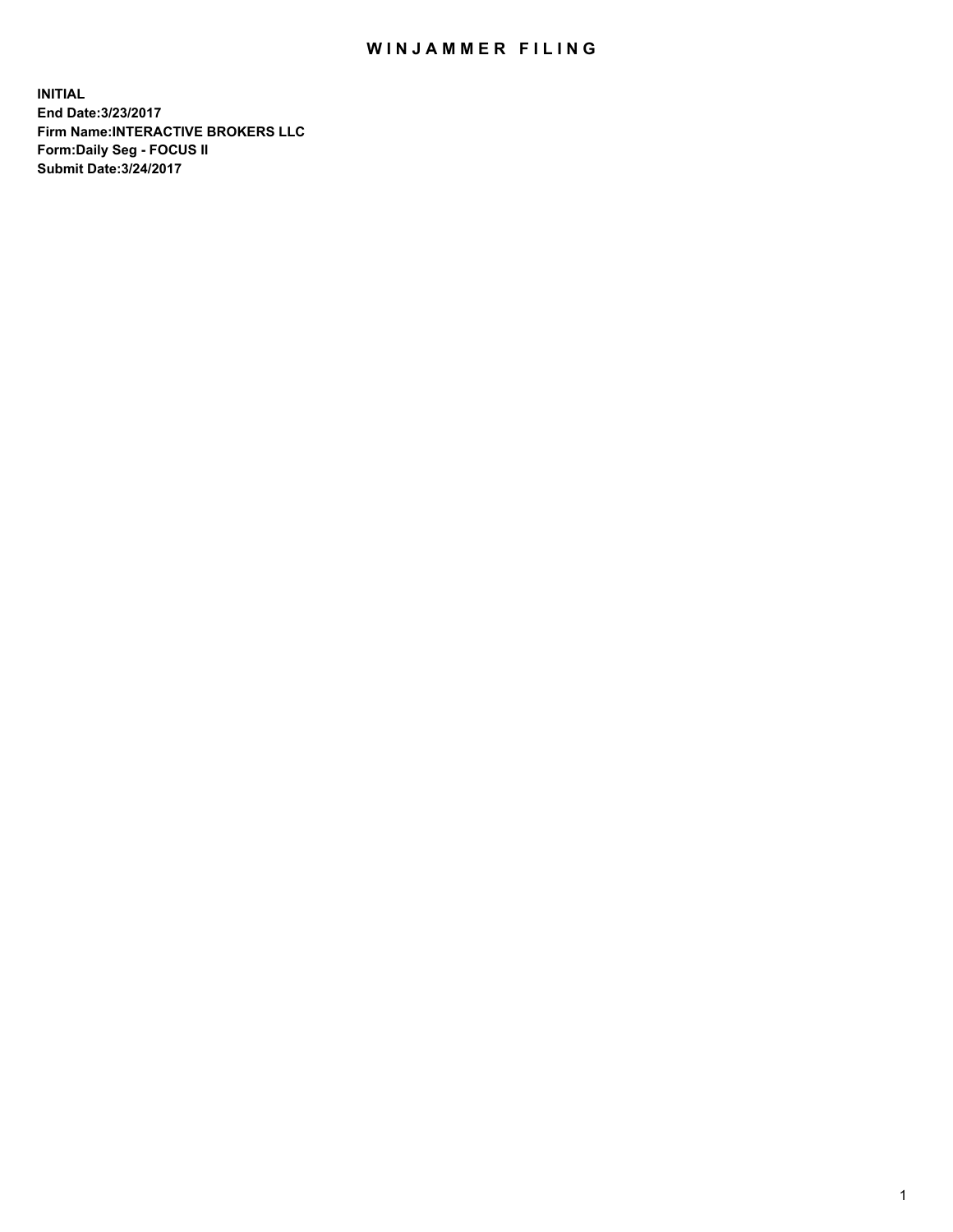## WIN JAMMER FILING

**INITIAL End Date:3/23/2017 Firm Name:INTERACTIVE BROKERS LLC Form:Daily Seg - FOCUS II Submit Date:3/24/2017**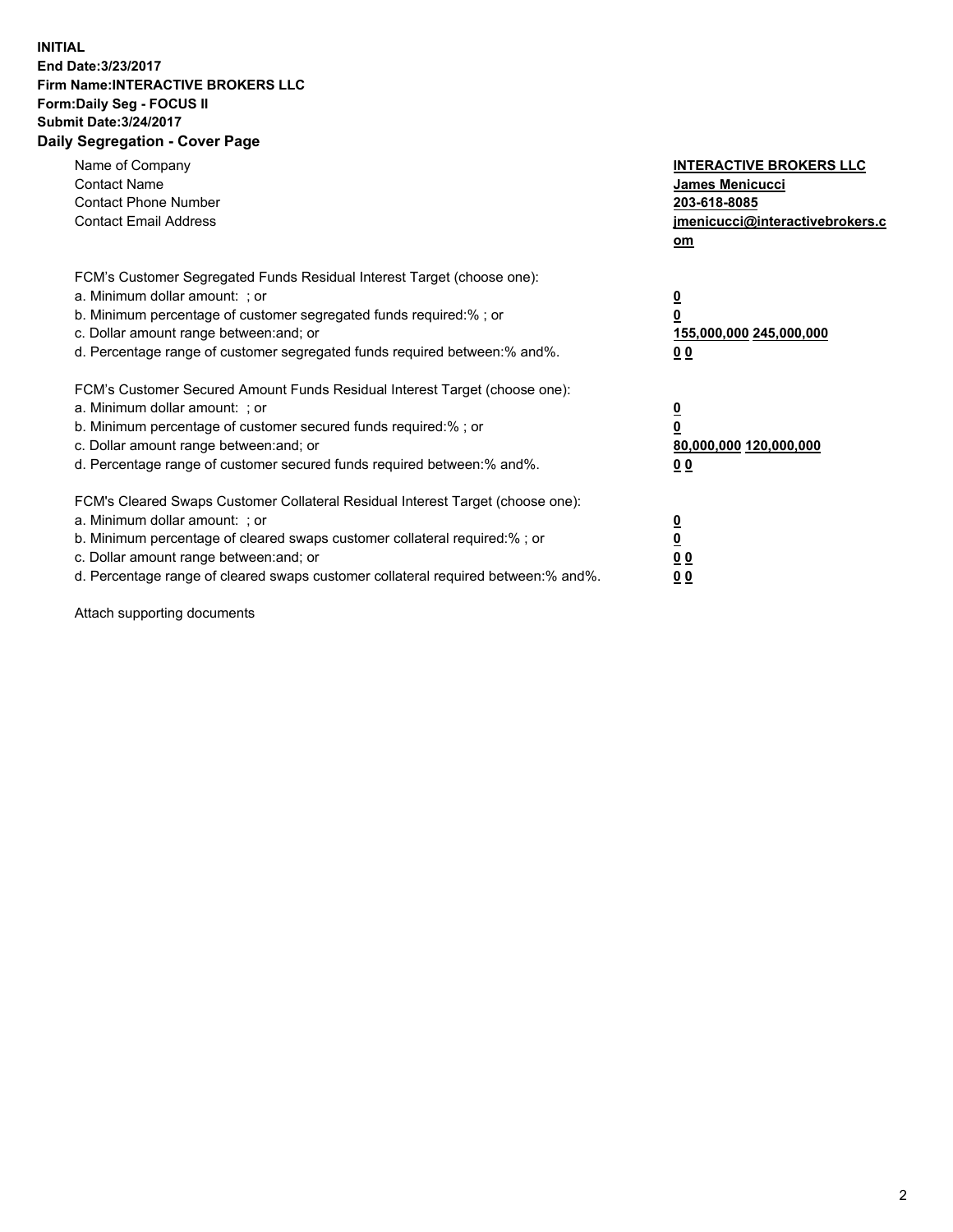## **INITIAL End Date:3/23/2017 Firm Name:INTERACTIVE BROKERS LLC Form:Daily Seg - FOCUS II Submit Date:3/24/2017 Daily Segregation - Cover Page**

| Name of Company<br><b>Contact Name</b><br><b>Contact Phone Number</b><br><b>Contact Email Address</b>                                                                                                                                                                                                                          | <b>INTERACTIVE BROKERS LLC</b><br>James Menicucci<br>203-618-8085<br>jmenicucci@interactivebrokers.c<br>om |
|--------------------------------------------------------------------------------------------------------------------------------------------------------------------------------------------------------------------------------------------------------------------------------------------------------------------------------|------------------------------------------------------------------------------------------------------------|
| FCM's Customer Segregated Funds Residual Interest Target (choose one):<br>a. Minimum dollar amount: ; or<br>b. Minimum percentage of customer segregated funds required:%; or<br>c. Dollar amount range between: and; or<br>d. Percentage range of customer segregated funds required between:% and%.                          | $\overline{\mathbf{0}}$<br>0<br>155,000,000 245,000,000<br>0 <sub>0</sub>                                  |
| FCM's Customer Secured Amount Funds Residual Interest Target (choose one):<br>a. Minimum dollar amount: ; or<br>b. Minimum percentage of customer secured funds required:%; or<br>c. Dollar amount range between: and; or<br>d. Percentage range of customer secured funds required between:% and%.                            | $\overline{\mathbf{0}}$<br>$\overline{\mathbf{0}}$<br>80,000,000 120,000,000<br>00                         |
| FCM's Cleared Swaps Customer Collateral Residual Interest Target (choose one):<br>a. Minimum dollar amount: ; or<br>b. Minimum percentage of cleared swaps customer collateral required:% ; or<br>c. Dollar amount range between: and; or<br>d. Percentage range of cleared swaps customer collateral required between:% and%. | $\overline{\mathbf{0}}$<br>$\overline{\mathbf{0}}$<br>0 <sub>0</sub><br><u>00</u>                          |

Attach supporting documents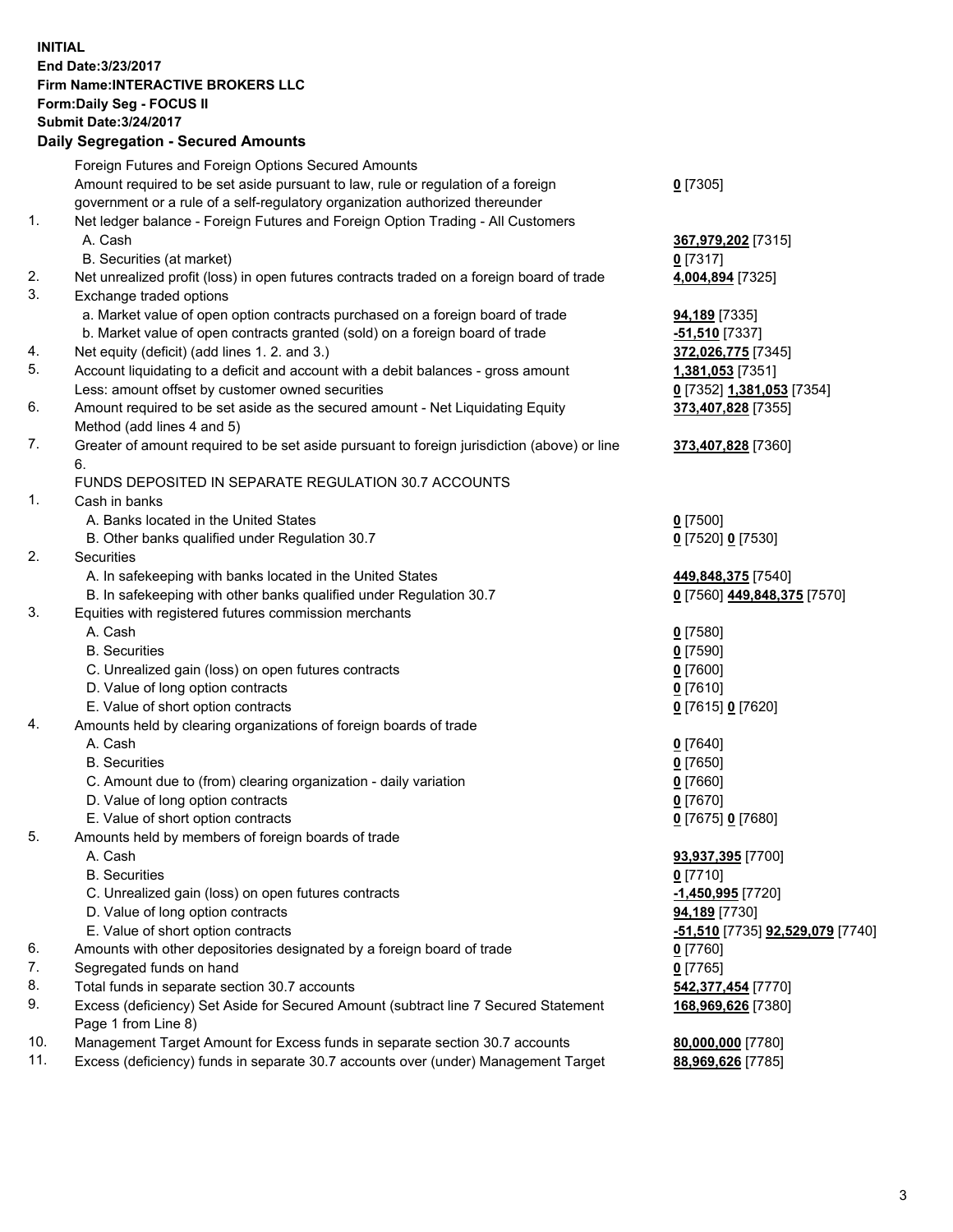## **INITIAL End Date:3/23/2017 Firm Name:INTERACTIVE BROKERS LLC Form:Daily Seg - FOCUS II Submit Date:3/24/2017 Daily Segregation - Secured Amounts**

|     | Foreign Futures and Foreign Options Secured Amounts                                         |                                                 |
|-----|---------------------------------------------------------------------------------------------|-------------------------------------------------|
|     | Amount required to be set aside pursuant to law, rule or regulation of a foreign            | $0$ [7305]                                      |
|     | government or a rule of a self-regulatory organization authorized thereunder                |                                                 |
| 1.  | Net ledger balance - Foreign Futures and Foreign Option Trading - All Customers             |                                                 |
|     | A. Cash                                                                                     | 367,979,202 [7315]                              |
|     | B. Securities (at market)                                                                   | $0$ [7317]                                      |
| 2.  | Net unrealized profit (loss) in open futures contracts traded on a foreign board of trade   | 4,004,894 [7325]                                |
| 3.  | Exchange traded options                                                                     |                                                 |
|     | a. Market value of open option contracts purchased on a foreign board of trade              | <b>94,189</b> [7335]                            |
|     | b. Market value of open contracts granted (sold) on a foreign board of trade                | <b>-51,510</b> [7337]                           |
| 4.  | Net equity (deficit) (add lines 1. 2. and 3.)                                               | 372,026,775 [7345]                              |
| 5.  | Account liquidating to a deficit and account with a debit balances - gross amount           | 1,381,053 [7351]                                |
|     | Less: amount offset by customer owned securities                                            | 0 <sup>[7352]</sup> 1,381,053 <sup>[7354]</sup> |
| 6.  | Amount required to be set aside as the secured amount - Net Liquidating Equity              | 373,407,828 [7355]                              |
|     | Method (add lines 4 and 5)                                                                  |                                                 |
| 7.  | Greater of amount required to be set aside pursuant to foreign jurisdiction (above) or line | 373,407,828 [7360]                              |
|     | 6.                                                                                          |                                                 |
|     | FUNDS DEPOSITED IN SEPARATE REGULATION 30.7 ACCOUNTS                                        |                                                 |
| 1.  | Cash in banks                                                                               |                                                 |
|     | A. Banks located in the United States                                                       | $0$ [7500]                                      |
|     | B. Other banks qualified under Regulation 30.7                                              | 0 [7520] 0 [7530]                               |
| 2.  | Securities                                                                                  |                                                 |
|     | A. In safekeeping with banks located in the United States                                   | 449,848,375 [7540]                              |
|     | B. In safekeeping with other banks qualified under Regulation 30.7                          | 0 [7560] 449,848,375 [7570]                     |
| 3.  | Equities with registered futures commission merchants                                       |                                                 |
|     | A. Cash                                                                                     | $0$ [7580]                                      |
|     | <b>B.</b> Securities                                                                        | $0$ [7590]                                      |
|     | C. Unrealized gain (loss) on open futures contracts                                         | $0$ [7600]                                      |
|     | D. Value of long option contracts                                                           | $0$ [7610]                                      |
|     | E. Value of short option contracts                                                          | 0 [7615] 0 [7620]                               |
| 4.  | Amounts held by clearing organizations of foreign boards of trade                           |                                                 |
|     | A. Cash                                                                                     | $0$ [7640]                                      |
|     | <b>B.</b> Securities                                                                        | $0$ [7650]                                      |
|     | C. Amount due to (from) clearing organization - daily variation                             | $0$ [7660]                                      |
|     | D. Value of long option contracts                                                           | $0$ [7670]                                      |
|     | E. Value of short option contracts                                                          | 0 [7675] 0 [7680]                               |
| 5.  | Amounts held by members of foreign boards of trade                                          |                                                 |
|     | A. Cash                                                                                     | 93,937,395 [7700]                               |
|     | <b>B.</b> Securities                                                                        | $0$ [7710]                                      |
|     | C. Unrealized gain (loss) on open futures contracts                                         | -1,450,995 [7720]                               |
|     | D. Value of long option contracts                                                           | 94,189 [7730]                                   |
|     | E. Value of short option contracts                                                          | <u>-51,510</u> [7735] <b>92,529,079</b> [7740]  |
| 6.  | Amounts with other depositories designated by a foreign board of trade                      | $0$ [7760]                                      |
| 7.  | Segregated funds on hand                                                                    | $0$ [7765]                                      |
| 8.  | Total funds in separate section 30.7 accounts                                               | 542,377,454 [7770]                              |
| 9.  | Excess (deficiency) Set Aside for Secured Amount (subtract line 7 Secured Statement         | 168,969,626 [7380]                              |
|     | Page 1 from Line 8)                                                                         |                                                 |
| 10. | Management Target Amount for Excess funds in separate section 30.7 accounts                 | 80,000,000 [7780]                               |
| 11. | Excess (deficiency) funds in separate 30.7 accounts over (under) Management Target          | 88,969,626 [7785]                               |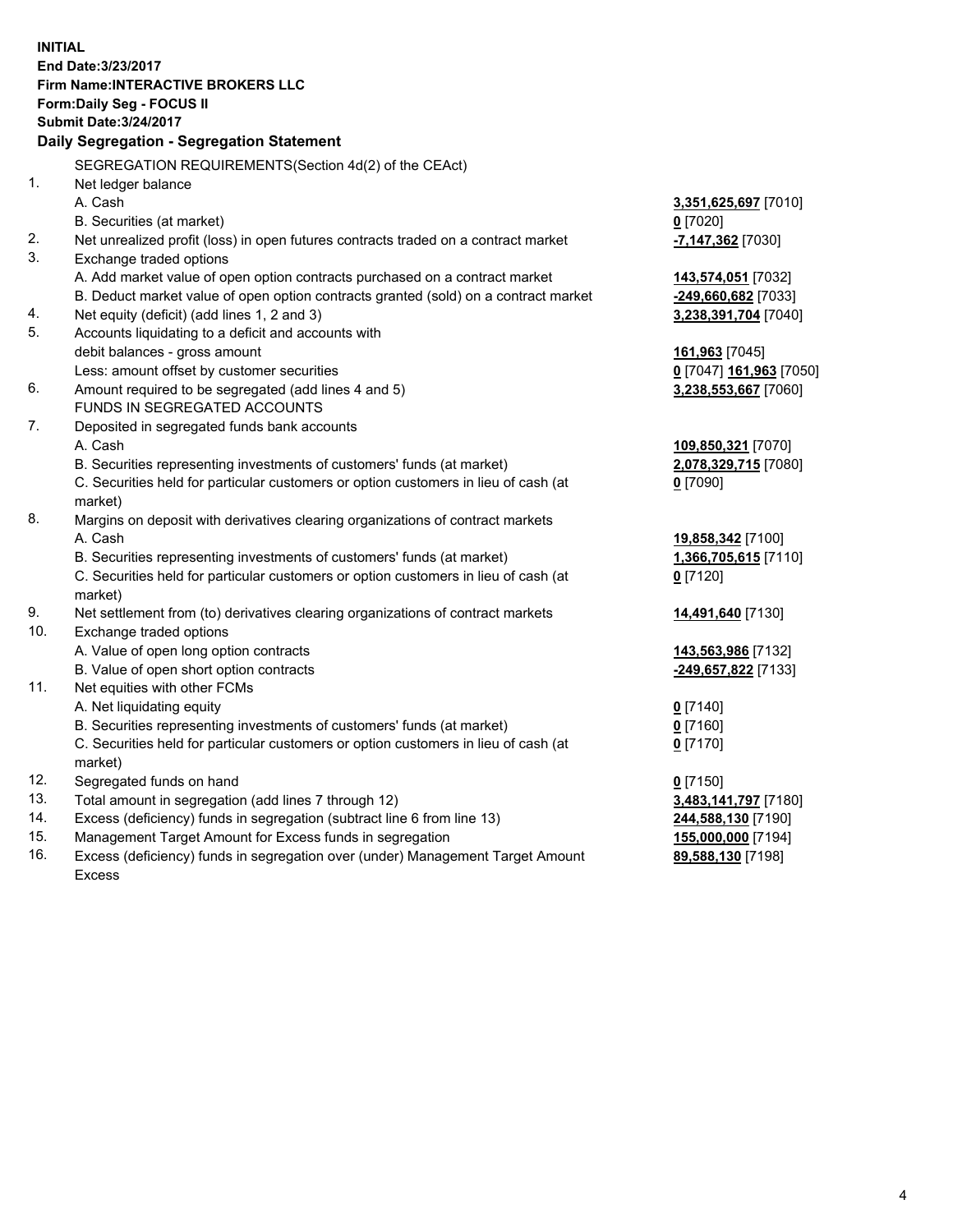**INITIAL End Date:3/23/2017 Firm Name:INTERACTIVE BROKERS LLC Form:Daily Seg - FOCUS II Submit Date:3/24/2017 Daily Segregation - Segregation Statement** SEGREGATION REQUIREMENTS(Section 4d(2) of the CEAct) 1. Net ledger balance A. Cash **3,351,625,697** [7010] B. Securities (at market) **0** [7020] 2. Net unrealized profit (loss) in open futures contracts traded on a contract market **-7,147,362** [7030] 3. Exchange traded options A. Add market value of open option contracts purchased on a contract market **143,574,051** [7032] B. Deduct market value of open option contracts granted (sold) on a contract market **-249,660,682** [7033] 4. Net equity (deficit) (add lines 1, 2 and 3) **3,238,391,704** [7040] 5. Accounts liquidating to a deficit and accounts with debit balances - gross amount **161,963** [7045] Less: amount offset by customer securities **0** [7047] **161,963** [7050] 6. Amount required to be segregated (add lines 4 and 5) **3,238,553,667** [7060] FUNDS IN SEGREGATED ACCOUNTS 7. Deposited in segregated funds bank accounts A. Cash **109,850,321** [7070] B. Securities representing investments of customers' funds (at market) **2,078,329,715** [7080] C. Securities held for particular customers or option customers in lieu of cash (at market) **0** [7090] 8. Margins on deposit with derivatives clearing organizations of contract markets A. Cash **19,858,342** [7100] B. Securities representing investments of customers' funds (at market) **1,366,705,615** [7110] C. Securities held for particular customers or option customers in lieu of cash (at market) **0** [7120] 9. Net settlement from (to) derivatives clearing organizations of contract markets **14,491,640** [7130] 10. Exchange traded options A. Value of open long option contracts **143,563,986** [7132] B. Value of open short option contracts **-249,657,822** [7133] 11. Net equities with other FCMs A. Net liquidating equity **0** [7140] B. Securities representing investments of customers' funds (at market) **0** [7160] C. Securities held for particular customers or option customers in lieu of cash (at market) **0** [7170] 12. Segregated funds on hand **0** [7150] 13. Total amount in segregation (add lines 7 through 12) **3,483,141,797** [7180] 14. Excess (deficiency) funds in segregation (subtract line 6 from line 13) **244,588,130** [7190] 15. Management Target Amount for Excess funds in segregation **155,000,000** [7194]

16. Excess (deficiency) funds in segregation over (under) Management Target Amount Excess

**89,588,130** [7198]